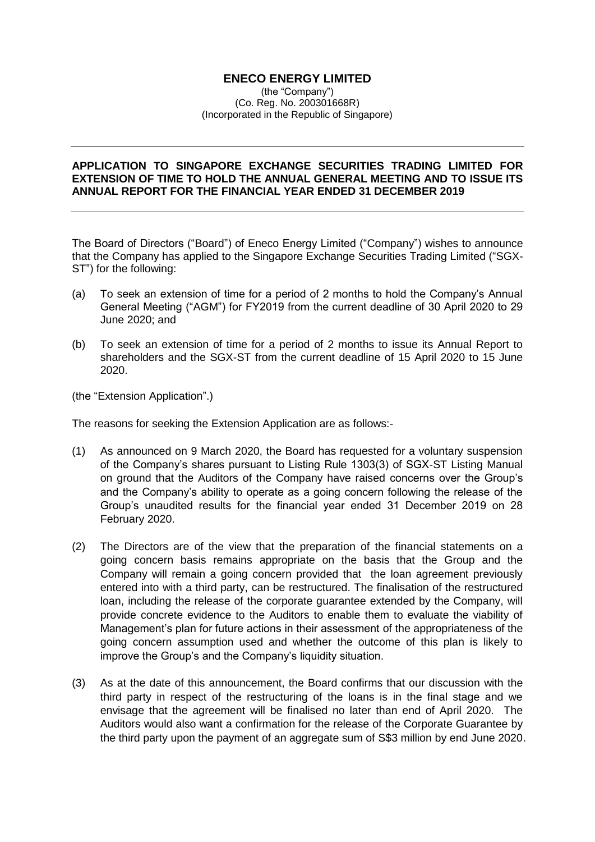## **ENECO ENERGY LIMITED**

(the "Company") (Co. Reg. No. 200301668R) (Incorporated in the Republic of Singapore)

## **APPLICATION TO SINGAPORE EXCHANGE SECURITIES TRADING LIMITED FOR EXTENSION OF TIME TO HOLD THE ANNUAL GENERAL MEETING AND TO ISSUE ITS ANNUAL REPORT FOR THE FINANCIAL YEAR ENDED 31 DECEMBER 2019**

The Board of Directors ("Board") of Eneco Energy Limited ("Company") wishes to announce that the Company has applied to the Singapore Exchange Securities Trading Limited ("SGX-ST") for the following:

- (a) To seek an extension of time for a period of 2 months to hold the Company's Annual General Meeting ("AGM") for FY2019 from the current deadline of 30 April 2020 to 29 June 2020; and
- (b) To seek an extension of time for a period of 2 months to issue its Annual Report to shareholders and the SGX-ST from the current deadline of 15 April 2020 to 15 June 2020.

(the "Extension Application".)

The reasons for seeking the Extension Application are as follows:-

- (1) As announced on 9 March 2020, the Board has requested for a voluntary suspension of the Company's shares pursuant to Listing Rule 1303(3) of SGX-ST Listing Manual on ground that the Auditors of the Company have raised concerns over the Group's and the Company's ability to operate as a going concern following the release of the Group's unaudited results for the financial year ended 31 December 2019 on 28 February 2020.
- (2) The Directors are of the view that the preparation of the financial statements on a going concern basis remains appropriate on the basis that the Group and the Company will remain a going concern provided that the loan agreement previously entered into with a third party, can be restructured. The finalisation of the restructured loan, including the release of the corporate guarantee extended by the Company, will provide concrete evidence to the Auditors to enable them to evaluate the viability of Management's plan for future actions in their assessment of the appropriateness of the going concern assumption used and whether the outcome of this plan is likely to improve the Group's and the Company's liquidity situation.
- (3) As at the date of this announcement, the Board confirms that our discussion with the third party in respect of the restructuring of the loans is in the final stage and we envisage that the agreement will be finalised no later than end of April 2020. The Auditors would also want a confirmation for the release of the Corporate Guarantee by the third party upon the payment of an aggregate sum of S\$3 million by end June 2020.